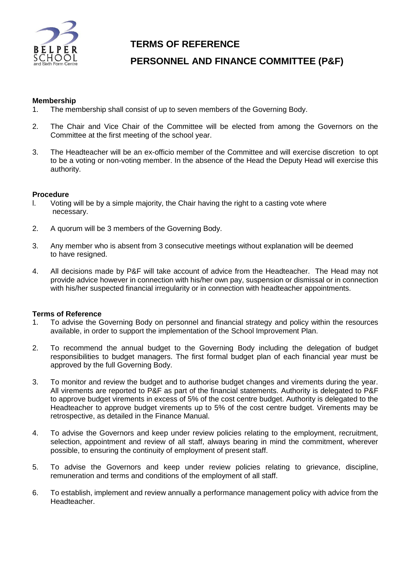

# **TERMS OF REFERENCE**

# **PERSONNEL AND FINANCE COMMITTEE (P&F)**

### **Membership**

- 1. The membership shall consist of up to seven members of the Governing Body.
- 2. The Chair and Vice Chair of the Committee will be elected from among the Governors on the Committee at the first meeting of the school year.
- 3. The Headteacher will be an ex-officio member of the Committee and will exercise discretion to opt to be a voting or non-voting member. In the absence of the Head the Deputy Head will exercise this authority.

### **Procedure**

- l. Voting will be by a simple majority, the Chair having the right to a casting vote where necessary.
- 2. A quorum will be 3 members of the Governing Body.
- 3. Any member who is absent from 3 consecutive meetings without explanation will be deemed to have resigned.
- 4. All decisions made by P&F will take account of advice from the Headteacher. The Head may not provide advice however in connection with his/her own pay, suspension or dismissal or in connection with his/her suspected financial irregularity or in connection with headteacher appointments.

#### **Terms of Reference**

- 1. To advise the Governing Body on personnel and financial strategy and policy within the resources available, in order to support the implementation of the School Improvement Plan.
- 2. To recommend the annual budget to the Governing Body including the delegation of budget responsibilities to budget managers. The first formal budget plan of each financial year must be approved by the full Governing Body.
- 3. To monitor and review the budget and to authorise budget changes and virements during the year. All virements are reported to P&F as part of the financial statements. Authority is delegated to P&F to approve budget virements in excess of 5% of the cost centre budget. Authority is delegated to the Headteacher to approve budget virements up to 5% of the cost centre budget. Virements may be retrospective, as detailed in the Finance Manual.
- 4. To advise the Governors and keep under review policies relating to the employment, recruitment, selection, appointment and review of all staff, always bearing in mind the commitment, wherever possible, to ensuring the continuity of employment of present staff.
- 5. To advise the Governors and keep under review policies relating to grievance, discipline, remuneration and terms and conditions of the employment of all staff.
- 6. To establish, implement and review annually a performance management policy with advice from the Headteacher.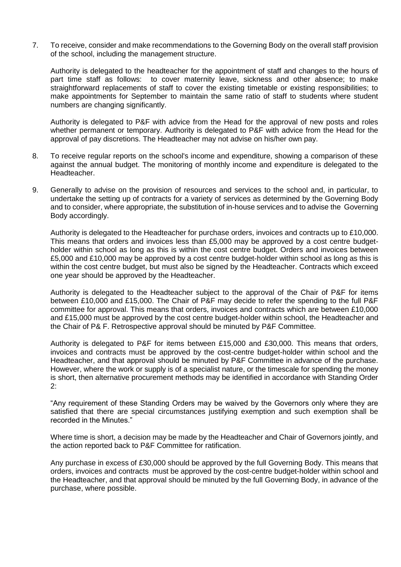7. To receive, consider and make recommendations to the Governing Body on the overall staff provision of the school, including the management structure.

Authority is delegated to the headteacher for the appointment of staff and changes to the hours of part time staff as follows: to cover maternity leave, sickness and other absence; to make straightforward replacements of staff to cover the existing timetable or existing responsibilities; to make appointments for September to maintain the same ratio of staff to students where student numbers are changing significantly.

Authority is delegated to P&F with advice from the Head for the approval of new posts and roles whether permanent or temporary. Authority is delegated to P&F with advice from the Head for the approval of pay discretions. The Headteacher may not advise on his/her own pay.

- 8. To receive regular reports on the school's income and expenditure, showing a comparison of these against the annual budget. The monitoring of monthly income and expenditure is delegated to the Headteacher.
- 9. Generally to advise on the provision of resources and services to the school and, in particular, to undertake the setting up of contracts for a variety of services as determined by the Governing Body and to consider, where appropriate, the substitution of in-house services and to advise the Governing Body accordingly.

Authority is delegated to the Headteacher for purchase orders, invoices and contracts up to £10,000. This means that orders and invoices less than £5,000 may be approved by a cost centre budgetholder within school as long as this is within the cost centre budget. Orders and invoices between £5,000 and £10,000 may be approved by a cost centre budget-holder within school as long as this is within the cost centre budget, but must also be signed by the Headteacher. Contracts which exceed one year should be approved by the Headteacher.

Authority is delegated to the Headteacher subject to the approval of the Chair of P&F for items between £10,000 and £15,000. The Chair of P&F may decide to refer the spending to the full P&F committee for approval. This means that orders, invoices and contracts which are between £10,000 and £15,000 must be approved by the cost centre budget-holder within school, the Headteacher and the Chair of P& F. Retrospective approval should be minuted by P&F Committee.

Authority is delegated to P&F for items between £15,000 and £30,000. This means that orders, invoices and contracts must be approved by the cost-centre budget-holder within school and the Headteacher, and that approval should be minuted by P&F Committee in advance of the purchase. However, where the work or supply is of a specialist nature, or the timescale for spending the money is short, then alternative procurement methods may be identified in accordance with Standing Order 2:

"Any requirement of these Standing Orders may be waived by the Governors only where they are satisfied that there are special circumstances justifying exemption and such exemption shall be recorded in the Minutes."

Where time is short, a decision may be made by the Headteacher and Chair of Governors jointly, and the action reported back to P&F Committee for ratification.

Any purchase in excess of £30,000 should be approved by the full Governing Body. This means that orders, invoices and contracts must be approved by the cost-centre budget-holder within school and the Headteacher, and that approval should be minuted by the full Governing Body, in advance of the purchase, where possible.